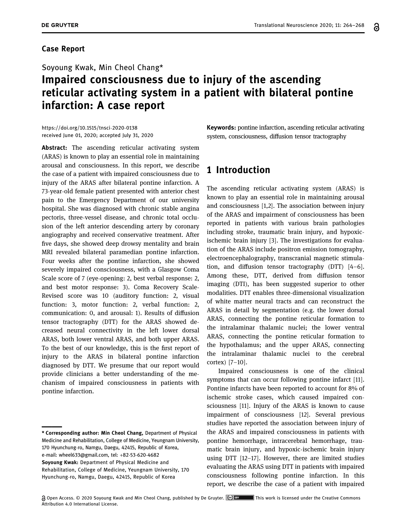#### Case Report

#### Soyoung Kwak, Min Cheol Chang\*

# Impaired consciousness due to injury of the ascending reticular activating system in a patient with bilateral pontine infarction: A case report

[https://doi.org/10.1515/tnsci](https://doi.org/10.1515/tnsci-2020-0138)-2020-0138 received June 01, 2020; accepted July 31, 2020

Keywords: pontine infarction, ascending reticular activating system, consciousness, diffusion tensor tractography

Abstract: The ascending reticular activating system (ARAS) is known to play an essential role in maintaining arousal and consciousness. In this report, we describe the case of a patient with impaired consciousness due to injury of the ARAS after bilateral pontine infarction. A 73-year-old female patient presented with anterior chest pain to the Emergency Department of our university hospital. She was diagnosed with chronic stable angina pectoris, three-vessel disease, and chronic total occlusion of the left anterior descending artery by coronary angiography and received conservative treatment. After five days, she showed deep drowsy mentality and brain MRI revealed bilateral paramedian pontine infarction. Four weeks after the pontine infarction, she showed severely impaired consciousness, with a Glasgow Coma Scale score of 7 (eye-opening: 2, best verbal response: 2, and best motor response: 3). Coma Recovery Scale-Revised score was 10 (auditory function: 2, visual function: 3, motor function: 2, verbal function: 2, communication: 0, and arousal: 1). Results of diffusion tensor tractography (DTT) for the ARAS showed decreased neural connectivity in the left lower dorsal ARAS, both lower ventral ARAS, and both upper ARAS. To the best of our knowledge, this is the first report of injury to the ARAS in bilateral pontine infarction diagnosed by DTT. We presume that our report would provide clinicians a better understanding of the mechanism of impaired consciousness in patients with pontine infarction.

1 Introduction

The ascending reticular activating system (ARAS) is known to play an essential role in maintaining arousal and consciousness [[1](#page-3-0)[,2](#page-3-1)]. The association between injury of the ARAS and impairment of consciousness has been reported in patients with various brain pathologies including stroke, traumatic brain injury, and hypoxicischemic brain injury [[3](#page-3-2)]. The investigations for evaluation of the ARAS include positron emission tomography, electroencephalography, transcranial magnetic stimulation, and diffusion tensor tractography (DTT) [[4](#page-3-3)–[6](#page-3-4)]. Among these, DTT, derived from diffusion tensor imaging (DTI), has been suggested superior to other modalities. DTT enables three-dimensional visualization of white matter neural tracts and can reconstruct the ARAS in detail by segmentation (e.g. the lower dorsal ARAS, connecting the pontine reticular formation to the intralaminar thalamic nuclei; the lower ventral ARAS, connecting the pontine reticular formation to the hypothalamus; and the upper ARAS, connecting the intralaminar thalamic nuclei to the cerebral cortex) [[7](#page-3-5)–[10](#page-4-0)].

Impaired consciousness is one of the clinical symptoms that can occur following pontine infarct [[11](#page-4-1)]. Pontine infarcts have been reported to account for 8% of ischemic stroke cases, which caused impaired consciousness [[11](#page-4-1)]. Injury of the ARAS is known to cause impairment of consciousness [[12](#page-4-2)]. Several previous studies have reported the association between injury of the ARAS and impaired consciousness in patients with pontine hemorrhage, intracerebral hemorrhage, traumatic brain injury, and hypoxic-ischemic brain injury using DTT [[12](#page-4-2)–[17](#page-4-3)]. However, there are limited studies evaluating the ARAS using DTT in patients with impaired consciousness following pontine infarction. In this report, we describe the case of a patient with impaired

Soyoung Kwak: Department of Physical Medicine and Rehabilitation, College of Medicine, Yeungnam University, 170 Hyunchung-ro, Namgu, Daegu, 42415, Republic of Korea \* Corresponding author: Min Cheol Chang, Department of Physical Medicine and Rehabilitation, College of Medicine, Yeungnam University, 170 Hyunchung-ro, Namgu, Daegu, 42415, Republic of Korea, e-mail: [wheel633@gmail.com,](mailto:wheel633@gmail.com) tel: +82-53-620-4682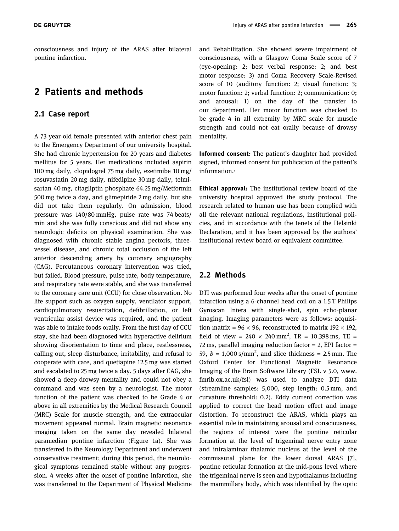consciousness and injury of the ARAS after bilateral pontine infarction.

### 2 Patients and methods

#### 2.1 Case report

A 73 year-old female presented with anterior chest pain to the Emergency Department of our university hospital. She had chronic hypertension for 20 years and diabetes mellitus for 5 years. Her medications included aspirin 100 mg daily, clopidogrel 75 mg daily, ezetimibe 10 mg/ rosuvastatin 20 mg daily, nifedipine 30 mg daily, telmisartan 40 mg, citagliptin phosphate 64.25 mg/Metformin 500 mg twice a day, and glimepiride 2 mg daily, but she did not take them regularly. On admission, blood pressure was 140/80 mmHg, pulse rate was 74 beats/ min and she was fully conscious and did not show any neurologic deficits on physical examination. She was diagnosed with chronic stable angina pectoris, threevessel disease, and chronic total occlusion of the left anterior descending artery by coronary angiography (CAG). Percutaneous coronary intervention was tried, but failed. Blood pressure, pulse rate, body temperature, and respiratory rate were stable, and she was transferred to the coronary care unit (CCU) for close observation. No life support such as oxygen supply, ventilator support, cardiopulmonary resuscitation, defibrillation, or left ventricular assist device was required, and the patient was able to intake foods orally. From the first day of CCU stay, she had been diagnosed with hyperactive delirium showing disorientation to time and place, restlessness, calling out, sleep disturbance, irritability, and refusal to cooperate with care, and quetiapine 12.5 mg was started and escalated to 25 mg twice a day. 5 days after CAG, she showed a deep drowsy mentality and could not obey a command and was seen by a neurologist. The motor function of the patient was checked to be Grade 4 or above in all extremities by the Medical Research Council (MRC) Scale for muscle strength, and the extraocular movement appeared normal. Brain magnetic resonance imaging taken on the same day revealed bilateral paramedian pontine infarction ([Figure 1a](#page-2-0)). She was transferred to the Neurology Department and underwent conservative treatment; during this period, the neurological symptoms remained stable without any progression. 4 weeks after the onset of pontine infarction, she was transferred to the Department of Physical Medicine and Rehabilitation. She showed severe impairment of consciousness, with a Glasgow Coma Scale score of 7 (eye-opening: 2; best verbal response: 2; and best motor response: 3) and Coma Recovery Scale-Revised score of 10 (auditory function: 2; visual function: 3; motor function: 2; verbal function: 2; communication: 0; and arousal: 1) on the day of the transfer to our department. Her motor function was checked to be grade 4 in all extremity by MRC scale for muscle strength and could not eat orally because of drowsy mentality.

Informed consent: The patient's daughter had provided signed, informed consent for publication of the patient's information.,

Ethical approval: The institutional review board of the university hospital approved the study protocol. The research related to human use has been complied with all the relevant national regulations, institutional policies, and in accordance with the tenets of the Helsinki Declaration, and it has been approved by the authors' institutional review board or equivalent committee.

#### 2.2 Methods

DTI was performed four weeks after the onset of pontine infarction using a 6-channel head coil on a 1.5 T Philips Gyroscan Intera with single-shot, spin echo-planar imaging. Imaging parameters were as follows: acquisition matrix =  $96 \times 96$ , reconstructed to matrix  $192 \times 192$ , field of view =  $240 \times 240$  mm<sup>2</sup>, TR = 10.398 ms, TE = 72 ms, parallel imaging reduction factor  $= 2$ , EPI factor  $=$ 59,  $b = 1,000 \text{ s/mm}^2$ , and slice thickness = 2.5 mm. The Oxford Center for Functional Magnetic Resonance Imaging of the Brain Software Library (FSL v 5.0, [www.](http://www.fmrib.ox.ac.uk/fsl) [fmrib.ox.ac.uk/fsl](http://www.fmrib.ox.ac.uk/fsl)) was used to analyze DTI data (streamline samples: 5,000, step length: 0.5 mm, and curvature threshold: 0.2). Eddy current correction was applied to correct the head motion effect and image distortion. To reconstruct the ARAS, which plays an essential role in maintaining arousal and consciousness, the regions of interest were the pontine reticular formation at the level of trigeminal nerve entry zone and intralaminar thalamic nucleus at the level of the commissural plane for the lower dorsal ARAS [[7](#page-3-5)], pontine reticular formation at the mid-pons level where the trigeminal nerve is seen and hypothalamus including the mammillary body, which was identified by the optic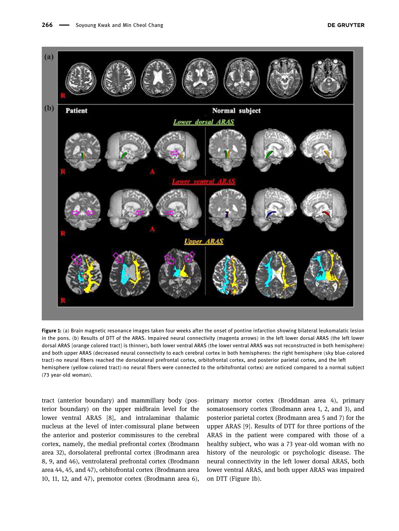<span id="page-2-0"></span>

Figure 1: (a) Brain magnetic resonance images taken four weeks after the onset of pontine infarction showing bilateral leukomalatic lesion in the pons. (b) Results of DTT of the ARAS. Impaired neural connectivity (magenta arrows) in the left lower dorsal ARAS (the left lower dorsal ARAS [orange colored tract] is thinner), both lower ventral ARAS (the lower ventral ARAS was not reconstructed in both hemisphere) and both upper ARAS (decreased neural connectivity to each cerebral cortex in both hemispheres: the right hemisphere (sky blue-colored tract)-no neural fibers reached the dorsolateral prefrontal cortex, orbitofrontal cortex, and posterior parietal cortex, and the left hemisphere (yellow-colored tract)-no neural fibers were connected to the orbitofrontal cortex) are noticed compared to a normal subject (73 year-old woman).

tract (anterior boundary) and mammillary body (posterior boundary) on the upper midbrain level for the lower ventral ARAS [[8](#page-3-6)], and intralaminar thalamic nucleus at the level of inter-comissural plane between the anterior and posterior commissures to the cerebral cortex, namely, the medial prefrontal cortex (Brodmann area 32), dorsolateral prefrontal cortex (Brodmann area 8, 9, and 46), ventrolateral prefrontal cortex (Brodmann area 44, 45, and 47), orbitofrontal cortex (Brodmann area 10, 11, 12, and 47), premotor cortex (Brodmann area 6), primary mortor cortex (Broddman area 4), primary somatosensory cortex (Brodmann area 1, 2, and 3), and posterior parietal cortex (Brodmann area 5 and 7) for the upper ARAS [[9](#page-4-4)]. Results of DTT for three portions of the ARAS in the patient were compared with those of a healthy subject, who was a 73 year-old woman with no history of the neurologic or psychologic disease. The neural connectivity in the left lower dorsal ARAS, both lower ventral ARAS, and both upper ARAS was impaired on DTT ([Figure 1b](#page-2-0)).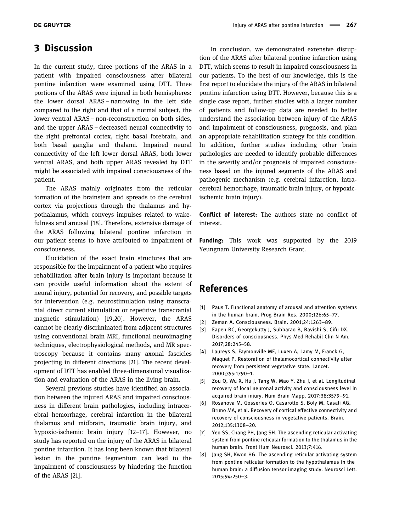## 3 Discussion

In the current study, three portions of the ARAS in a patient with impaired consciousness after bilateral pontine infarction were examined using DTT. Three portions of the ARAS were injured in both hemispheres: the lower dorsal ARAS – narrowing in the left side compared to the right and that of a normal subject, the lower ventral ARAS – non-reconstruction on both sides, and the upper ARAS – decreased neural connectivity to the right prefrontal cortex, right basal forebrain, and both basal ganglia and thalami. Impaired neural connectivity of the left lower dorsal ARAS, both lower ventral ARAS, and both upper ARAS revealed by DTT might be associated with impaired consciousness of the patient.

The ARAS mainly originates from the reticular formation of the brainstem and spreads to the cerebral cortex via projections through the thalamus and hypothalamus, which conveys impulses related to wakefulness and arousal [[18](#page-4-5)]. Therefore, extensive damage of the ARAS following bilateral pontine infarction in our patient seems to have attributed to impairment of consciousness.

Elucidation of the exact brain structures that are responsible for the impairment of a patient who requires rehabilitation after brain injury is important because it can provide useful information about the extent of neural injury, potential for recovery, and possible targets for intervention (e.g. neurostimulation using transcranial direct current stimulation or repetitive transcranial magnetic stimulation) [[19,](#page-4-6)[20](#page-4-7)]. However, the ARAS cannot be clearly discriminated from adjacent structures using conventional brain MRI, functional neuroimaging techniques, electrophysiological methods, and MR spectroscopy because it contains many axonal fascicles projecting in different directions [[21](#page-4-8)]. The recent development of DTT has enabled three-dimensional visualization and evaluation of the ARAS in the living brain.

Several previous studies have identified an association between the injured ARAS and impaired consciousness in different brain pathologies, including intracerebral hemorrhage, cerebral infarction in the bilateral thalamus and midbrain, traumatic brain injury, and hypoxic-ischemic brain injury [[12](#page-4-2)–[17](#page-4-3)]. However, no study has reported on the injury of the ARAS in bilateral pontine infarction. It has long been known that bilateral lesion in the pontine tegmentum can lead to the impairment of consciousness by hindering the function of the ARAS [[21](#page-4-8)].

In conclusion, we demonstrated extensive disruption of the ARAS after bilateral pontine infarction using DTT, which seems to result in impaired consciousness in our patients. To the best of our knowledge, this is the first report to elucidate the injury of the ARAS in bilateral pontine infarction using DTT. However, because this is a single case report, further studies with a larger number of patients and follow-up data are needed to better understand the association between injury of the ARAS and impairment of consciousness, prognosis, and plan an appropriate rehabilitation strategy for this condition. In addition, further studies including other brain pathologies are needed to identify probable differences in the severity and/or prognosis of impaired consciousness based on the injured segments of the ARAS and pathogenic mechanism (e.g. cerebral infarction, intracerebral hemorrhage, traumatic brain injury, or hypoxicischemic brain injury).

Conflict of interest: The authors state no conflict of interest.

Funding: This work was supported by the 2019 Yeungnam University Research Grant.

### References

- <span id="page-3-0"></span>[1] Paus T. Functional anatomy of arousal and attention systems in the human brain. Prog Brain Res. 2000;126:65–77.
- <span id="page-3-1"></span>[2] Zeman A. Consciousness. Brain. 2001;24:1263–89.
- <span id="page-3-2"></span>[3] Eapen BC, Georgekutty J, Subbarao B, Bavishi S, Cifu DX. Disorders of consciousness. Phys Med Rehabil Clin N Am. 2017;28:245–58.
- <span id="page-3-3"></span>[4] Laureys S, Faymonville ME, Luxen A, Lamy M, Franck G, Maquet P. Restoration of thalamocortical connectivity after recovery from persistent vegetative state. Lancet. 2000;355:1790–1.
- [5] Zou Q, Wu X, Hu J, Tang W, Mao Y, Zhu J, et al. Longitudinal recovery of local neuronal activity and consciousness level in acquired brain injury. Hum Brain Mapp. 2017;38:3579–91.
- <span id="page-3-4"></span>[6] Rosanova M, Gosseries O, Casarotto S, Boly M, Casali AG, Bruno MA, et al. Recovery of cortical effective connectivity and recovery of consciousness in vegetative patients. Brain. 2012;135:1308–20.
- <span id="page-3-5"></span>[7] Yeo SS, Chang PH, Jang SH. The ascending reticular activating system from pontine reticular formation to the thalamus in the human brain. Front Hum Neurosci. 2013;7:416.
- <span id="page-3-6"></span>[8] Jang SH, Kwon HG. The ascending reticular activating system from pontine reticular formation to the hypothalamus in the human brain: a diffusion tensor imaging study. Neurosci Lett. 2015;94:250–3.